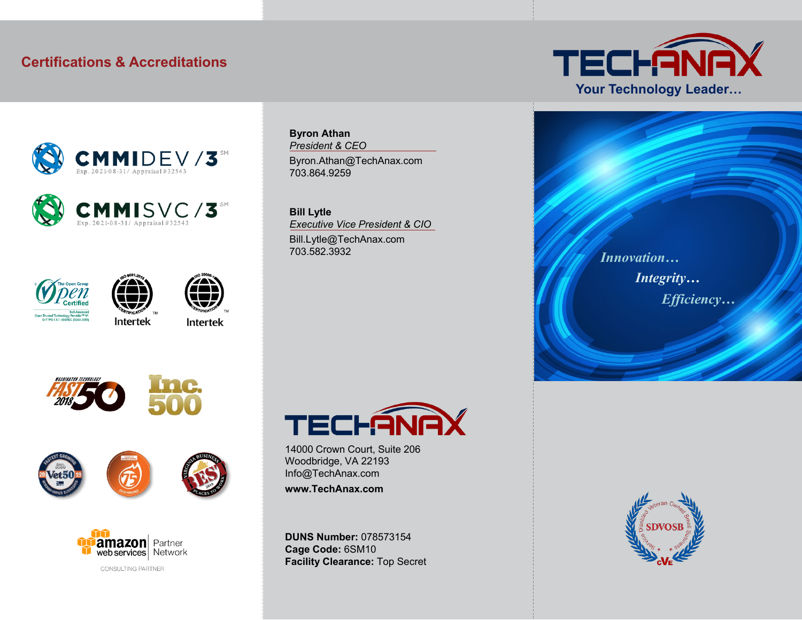#### **Certifications & Accreditations**











**Intertek** 

**Intertek** 









**Byron Athan** *President & CEO* Byron.Athan@TechAnax.com 703.864.9259

**Bill Lytle** *Executive Vice President & CIO* Bill.Lytle@TechAnax.com 703.582.3932



14000 Crown Court, Suite 206 Woodbridge, VA 22193 Info@TechAnax.com **www.TechAnax.com**

**DUNS Number:** 078573154 **Cage Code:** 6SM10 **Facility Clearance:** Top Secret



*Innovation… Integrity… Efficiency…*